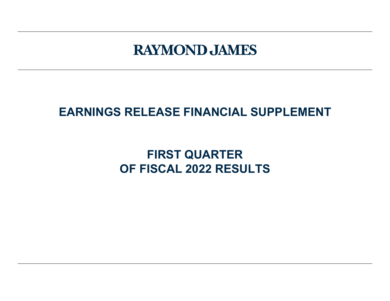# **RAYMOND JAMES**

## **EARNINGS RELEASE FINANCIAL SUPPLEMENT**

## **FIRST QUARTER OF FISCAL 2022 RESULTS**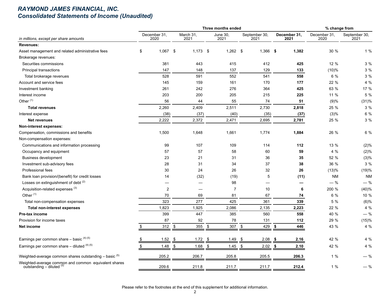#### *RAYMOND JAMES FINANCIAL, INC. Consolidated Statements of Income (Unaudited)*

|                                                                                   |                      |                |                   |            |            | Three months ended |                |                       |                      |       | % change from        |                       |
|-----------------------------------------------------------------------------------|----------------------|----------------|-------------------|------------|------------|--------------------|----------------|-----------------------|----------------------|-------|----------------------|-----------------------|
| in millions, except per share amounts                                             | December 31,<br>2020 |                | March 31,<br>2021 |            |            | June 30,<br>2021   |                | September 30,<br>2021 | December 31,<br>2021 |       | December 31,<br>2020 | September 30,<br>2021 |
| <b>Revenues:</b>                                                                  |                      |                |                   |            |            |                    |                |                       |                      |       |                      |                       |
| Asset management and related administrative fees                                  | \$                   | $1,067$ \$     |                   | $1,173$ \$ |            | $1,262$ \$         |                | $1,366$ \$            |                      | 1,382 | 30 %                 | 1%                    |
| Brokerage revenues:                                                               |                      |                |                   |            |            |                    |                |                       |                      |       |                      |                       |
| Securities commissions                                                            |                      | 381            |                   | 443        |            | 415                |                | 412                   |                      | 425   | 12 %                 | 3 %                   |
| Principal transactions                                                            |                      | 147            |                   | 148        |            | 137                |                | 129                   |                      | 133   | (10)%                | 3%                    |
| Total brokerage revenues                                                          |                      | 528            |                   | 591        |            | 552                |                | 541                   |                      | 558   | 6 %                  | 3%                    |
| Account and service fees                                                          |                      | 145            |                   | 159        |            | 161                |                | 170                   |                      | 177   | 22 %                 | 4 %                   |
| Investment banking                                                                |                      | 261            |                   | 242        |            | 276                |                | 364                   |                      | 425   | 63 %                 | 17 %                  |
| Interest income                                                                   |                      | 203            |                   | 200        |            | 205                |                | 215                   |                      | 225   | 11 %                 | 5 %                   |
| Other <sup>(1)</sup>                                                              |                      | 56             |                   | 44         |            | 55                 |                | 74                    |                      | 51    | (9)%                 | (31)%                 |
| <b>Total revenues</b>                                                             |                      | 2,260          |                   | 2,409      |            | 2,511              |                | 2,730                 |                      | 2,818 | 25 %                 | 3 %                   |
| Interest expense                                                                  |                      | (38)           |                   | (37)       |            | (40)               |                | (35)                  |                      | (37)  | (3)%                 | 6 %                   |
| <b>Net revenues</b>                                                               |                      | 2,222          |                   | 2,372      |            | 2,471              |                | 2,695                 |                      | 2,781 | 25 %                 | 3 %                   |
| Non-interest expenses:                                                            |                      |                |                   |            |            |                    |                |                       |                      |       |                      |                       |
| Compensation, commissions and benefits                                            |                      | 1,500          |                   | 1,648      |            | 1,661              |                | 1,774                 |                      | 1,884 | 26 %                 | 6 %                   |
| Non-compensation expenses:                                                        |                      |                |                   |            |            |                    |                |                       |                      |       |                      |                       |
| Communications and information processing                                         |                      | 99             |                   | 107        |            | 109                |                | 114                   |                      | 112   | 13 %                 | (2)%                  |
| Occupancy and equipment                                                           |                      | 57             |                   | 57         |            | 58                 |                | 60                    |                      | 59    | 4%                   | (2)%                  |
| <b>Business development</b>                                                       |                      | 23             |                   | 21         |            | 31                 |                | 36                    |                      | 35    | 52 %                 | (3)%                  |
| Investment sub-advisory fees                                                      |                      | 28             |                   | 31         |            | 34                 |                | 37                    |                      | 38    | 36 %                 | 3%                    |
| Professional fees                                                                 |                      | 30             |                   | 24         |            | 26                 |                | 32                    |                      | 26    | (13)%                | (19)%                 |
| Bank loan provision/(benefit) for credit losses                                   |                      | 14             |                   | (32)       |            | (19)               |                | 5                     |                      | (11)  | <b>NM</b>            | <b>NM</b>             |
| Losses on extinguishment of debt <sup>(2)</sup>                                   |                      |                |                   |            |            | 98                 |                |                       |                      |       | $-$ %                | $-$ %                 |
| Acquisition-related expenses <sup>(3)</sup>                                       |                      | $\overline{2}$ |                   |            |            | $\overline{7}$     |                | 10                    |                      | 6     | 200 %                | (40)%                 |
| Other <sup>(1)</sup>                                                              |                      | 70             |                   | 69         |            | 81                 |                | 67                    |                      | 74    | 6 %                  | 10 %                  |
| Total non-compensation expenses                                                   |                      | 323            |                   | 277        |            | 425                |                | 361                   |                      | 339   | 5 %                  | (6)%                  |
| <b>Total non-interest expenses</b>                                                |                      | 1,823          |                   | 1,925      |            | 2,086              |                | 2,135                 |                      | 2,223 | 22 %                 | 4 %                   |
| Pre-tax income                                                                    |                      | 399            |                   | 447        |            | 385                |                | 560                   |                      | 558   | 40 %                 | $-$ % $-$             |
| Provision for income taxes                                                        |                      | 87             |                   | 92         |            | 78                 |                | 131                   |                      | 112   | 29 %                 | (15)%                 |
| Net income                                                                        | \$                   | 312            | $\frac{1}{2}$     | 355        | $\sqrt{2}$ | 307                | $$\mathbb{S}$$ | 429                   | \$                   | 446   | 43 %                 | 4 %                   |
| Earnings per common share $-$ basic $(4)(5)$                                      |                      | 1.52           | - \$              | $1.72$ \$  |            | 1.49               | -\$            | 2.08                  | -\$                  | 2.16  | 42 %                 | 4%                    |
| Earnings per common share $-$ diluted $(4)$ (5)                                   |                      | 1.48           | \$                | $1.68$ \$  |            | $1.45$ \$          |                | 2.02                  | \$                   | 2.10  | 42 %                 | 4 %                   |
| Weighted-average common shares outstanding $-$ basic $(5)$                        |                      | 205.2          |                   | 206.7      |            | 205.8              |                | 205.5                 |                      | 206.3 | 1%                   | — %                   |
| Weighted-average common and common equivalent shares<br>outstanding - diluted (5) |                      | 209.6          |                   | 211.8      |            | 211.7              |                | 211.7                 |                      | 212.4 | 1%                   | $-$ %                 |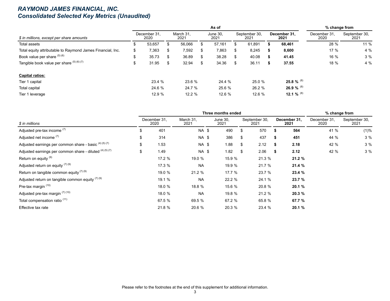#### *RAYMOND JAMES FINANCIAL, INC. Consolidated Selected Key Metrics (Unaudited)*

|                                                            |    |                      |    |                   |    | % change from           |     |                       |  |                      |                      |                       |
|------------------------------------------------------------|----|----------------------|----|-------------------|----|-------------------------|-----|-----------------------|--|----------------------|----------------------|-----------------------|
| \$ in millions, except per share amounts                   |    | December 31.<br>2020 |    | March 31.<br>2021 |    | <b>June 30,</b><br>2021 |     | September 30,<br>2021 |  | December 31.<br>2021 | December 31.<br>2020 | September 30,<br>2021 |
| Total assets                                               | ۰D | 53,657               | S  | 56,066            |    | 57.161                  |     | 61,891                |  | 68,461               | 28 %                 | 11 %                  |
| Total equity attributable to Raymond James Financial, Inc. | S  | 7,363                | S  | 7,592             | S  | 7,863                   | S.  | 8,245                 |  | 8,600                | 17 $%$               | 4%                    |
| Book value per share (5) (6)                               | ა  | 35.73                | \$ | 36.89             |    | 38.28                   | \$. | 40.08                 |  | 41.45                | 16 %                 | 3%                    |
| Tangible book value per share $(5)$ (6) (7)                | \$ | 31.95                | \$ | 32.94             | \$ | 34.36                   | S   | 36.11                 |  | 37.55                | 18 %                 | 4%                    |
| <b>Capital ratios:</b>                                     |    |                      |    |                   |    |                         |     |                       |  |                      |                      |                       |
| Tier 1 capital                                             |    | 23.4 %               |    | 23.6 %            |    | 24.4 %                  |     | 25.0 %                |  | 25.8 % $^{(8)}$      |                      |                       |
| Total capital                                              |    | 24.6 %               |    | 24.7 %            |    | 25.6 %                  |     | 26.2 %                |  | 26.9 % $^{(8)}$      |                      |                       |
| Tier 1 leverage                                            |    | 12.9 %               |    | 12.2 %            |    | 12.6 %                  |     | 12.6 %                |  | 12.1 % $^{(8)}$      |                      |                       |

|                                                          |                      | Three months ended |                  | % change from         |    |                      |                      |                       |
|----------------------------------------------------------|----------------------|--------------------|------------------|-----------------------|----|----------------------|----------------------|-----------------------|
| \$ in millions                                           | December 31.<br>2020 | March 31.<br>2021  | June 30.<br>2021 | September 30,<br>2021 |    | December 31.<br>2021 | December 31.<br>2020 | September 30,<br>2021 |
| Adjusted pre-tax income (7)                              | \$<br>401            | NA \$              | 490              | \$<br>570             |    | 564                  | 41 %                 | (1)%                  |
| Adjusted net income (7)                                  | \$<br>314            | NA \$              | 386              | \$<br>437             | S  | 451                  | 44 %                 | 3%                    |
| Adjusted earnings per common share - basic (4) (5) (7)   | \$<br>1.53           | NA \$              | 1.88             | \$<br>2.12            | £. | 2.18                 | 42 %                 | 3%                    |
| Adjusted earnings per common share - diluted (4) (5) (7) | \$<br>1.49           | NA \$              | 1.82             | \$<br>2.06            | S. | 2.12                 | 42 %                 | 3%                    |
| Return on equity <sup>(9)</sup>                          | 17.2 %               | 19.0 %             | 15.9 %           | 21.3 %                |    | 21.2 %               |                      |                       |
| Adjusted return on equity $(7)(9)$                       | 17.3 %               | <b>NA</b>          | 19.9 %           | 21.7 %                |    | 21.4 %               |                      |                       |
| Return on tangible common equity $(7)$ (9)               | 19.0 %               | 21.2 %             | 17.7 %           | 23.7 %                |    | 23.4 %               |                      |                       |
| Adjusted return on tangible common equity $(7)(9)$       | 19.1 %               | <b>NA</b>          | 22.2 %           | 24.1 %                |    | 23.7 %               |                      |                       |
| Pre-tax margin (10)                                      | 18.0 %               | 18.8 %             | 15.6 %           | 20.8 %                |    | 20.1 %               |                      |                       |
| Adjusted pre-tax margin (7) (10)                         | 18.0 %               | <b>NA</b>          | 19.8 %           | 21.2 %                |    | 20.3%                |                      |                       |
| Total compensation ratio (11)                            | 67.5 %               | 69.5 %             | 67.2 %           | 65.8 %                |    | 67.7 %               |                      |                       |
| Effective tax rate                                       | 21.8 %               | 20.6 %             | 20.3 %           | 23.4 %                |    | 20.1%                |                      |                       |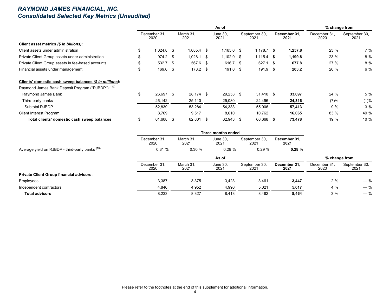#### *RAYMOND JAMES FINANCIAL, INC. Consolidated Selected Key Metrics (Unaudited)*

|                                                         |     |                      |                   |      | % change from           |                       |  |                      |                      |                       |
|---------------------------------------------------------|-----|----------------------|-------------------|------|-------------------------|-----------------------|--|----------------------|----------------------|-----------------------|
|                                                         |     | December 31.<br>2020 | March 31.<br>2021 |      | <b>June 30.</b><br>2021 | September 30.<br>2021 |  | December 31.<br>2021 | December 31.<br>2020 | September 30,<br>2021 |
| Client asset metrics (\$ in billions):                  |     |                      |                   |      |                         |                       |  |                      |                      |                       |
| Client assets under administration                      | \$. | $1.024.8$ \$         | $1.085.4$ \$      |      | $1,165.0$ \$            | $1.178.7$ \$          |  | 1,257.8              | 23 %                 | 7 %                   |
| Private Client Group assets under administration        |     | $974.2$ \$           | 1,028.1           | - \$ | $1,102.9$ \$            | $1.115.4$ \$          |  | 1,199.8              | 23 %                 | 8 %                   |
| Private Client Group assets in fee-based accounts       |     | 532.7 \$             | 567.6 \$          |      | 616.7 \$                | $627.1$ \$            |  | 677.8                | 27%                  | 8 %                   |
| Financial assets under management                       |     | $169.6$ \$           | $178.2$ \$        |      | $191.0$ \$              | $191.9$ \$            |  | 203.2                | 20 %                 | 6 %                   |
| Clients' domestic cash sweep balances (\$ in millions): |     |                      |                   |      |                         |                       |  |                      |                      |                       |
| Raymond James Bank Deposit Program ("RJBDP"): (12)      |     |                      |                   |      |                         |                       |  |                      |                      |                       |
| Raymond James Bank                                      | \$  | 26,697 \$            | 28,174 \$         |      | $29,253$ \$             | $31.410$ \$           |  | 33,097               | 24 %                 | 5%                    |
| Third-party banks                                       |     | 26,142               | 25,110            |      | 25,080                  | 24,496                |  | 24,316               | (7)%                 | $(1)\%$               |
| Subtotal RJBDP                                          |     | 52,839               | 53,284            |      | 54,333                  | 55,906                |  | 57,413               | 9%                   | 3%                    |
| <b>Client Interest Program</b>                          |     | 8,769                | 9,517             |      | 8,610                   | 10,762                |  | 16,065               | 83 %                 | 49 %                  |
| Total clients' domestic cash sweep balances             |     | 61,608               | 62,801            |      | 62,943                  | 66,668                |  | 73,478               | 19 %                 | 10%                   |

|                                                 |                      | Three months ended |                  |                       |                      |                      |                       |  |  |  |  |  |
|-------------------------------------------------|----------------------|--------------------|------------------|-----------------------|----------------------|----------------------|-----------------------|--|--|--|--|--|
|                                                 | December 31.<br>2020 | March 31,<br>2021  | June 30,<br>2021 | September 30,<br>2021 | December 31,<br>2021 |                      |                       |  |  |  |  |  |
| Average yield on RJBDP - third-party banks (13) | 0.31%                | 0.30%              | 0.29%            | 0.29%                 | 0.28%                |                      |                       |  |  |  |  |  |
|                                                 |                      |                    | As of            |                       |                      | % change from        |                       |  |  |  |  |  |
|                                                 | December 31,<br>2020 | March 31,<br>2021  | June 30,<br>2021 | September 30,<br>2021 | December 31.<br>2021 | December 31.<br>2020 | September 30,<br>2021 |  |  |  |  |  |
| <b>Private Client Group financial advisors:</b> |                      |                    |                  |                       |                      |                      |                       |  |  |  |  |  |
| Employees                                       | 3,387                | 3,375              | 3,423            | 3,461                 | 3,447                | 2%                   | $-$ %                 |  |  |  |  |  |
| Independent contractors                         | 4,846                | 4,952              | 4,990            | 5,021                 | 5,017                | 4 %                  | $-$ %                 |  |  |  |  |  |
| <b>Total advisors</b>                           | 8,233                | 8,327              | 8,413            | 8,482                 | 8,464                | 3%                   | $-$ %                 |  |  |  |  |  |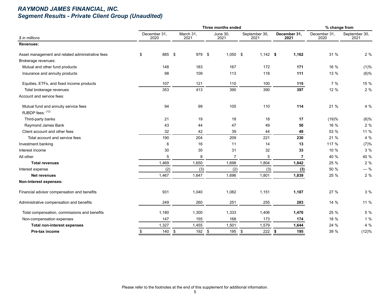## *RAYMOND JAMES FINANCIAL, INC. Segment Results - Private Client Group (Unaudited)*

|                                                          |                      |  |                                      | % change from           |                       |            |                      |                |                      |                       |
|----------------------------------------------------------|----------------------|--|--------------------------------------|-------------------------|-----------------------|------------|----------------------|----------------|----------------------|-----------------------|
| \$ in millions                                           | December 31,<br>2020 |  | March 31,<br>2021                    | <b>June 30,</b><br>2021 | September 30,<br>2021 |            | December 31,<br>2021 |                | December 31,<br>2020 | September 30,<br>2021 |
| Revenues:                                                |                      |  |                                      |                         |                       |            |                      |                |                      |                       |
| Asset management and related administrative fees         | 885 \$<br>\$         |  | 979 \$                               | $1,050$ \$              |                       | $1,142$ \$ |                      | 1,162          | 31 %                 | 2 %                   |
| Brokerage revenues:                                      |                      |  |                                      |                         |                       |            |                      |                |                      |                       |
| Mutual and other fund products                           | 148                  |  | 183                                  | 167                     |                       | 172        |                      | 171            | 16 %                 | (1)%                  |
| Insurance and annuity products                           | 98                   |  | 109                                  | 113                     |                       | 118        |                      | 111            | 13 %                 | $(6)$ %               |
| Equities, ETFs, and fixed income products                | 107                  |  | 121                                  | 110                     |                       | 100        |                      | 115            | 7%                   | 15 %                  |
| Total brokerage revenues                                 | 353                  |  | 413                                  | 390                     |                       | 390        |                      | 397            | 12 %                 | 2%                    |
| Account and service fees:                                |                      |  |                                      |                         |                       |            |                      |                |                      |                       |
| Mutual fund and annuity service fees<br>RJBDP fees: (12) | 94                   |  | 99                                   | 105                     |                       | 110        |                      | 114            | 21 %                 | 4 %                   |
| Third-party banks                                        | 21                   |  | 19                                   | 18                      |                       | 18         |                      | 17             | (19)%                | (6)%                  |
| Raymond James Bank                                       | 43                   |  | 44                                   | 47                      |                       | 49         |                      | 50             | 16 %                 | 2%                    |
| Client account and other fees                            | 32                   |  | 42                                   | 39                      |                       | 44         |                      | 49             | 53 %                 | 11 %                  |
| Total account and service fees                           | 190                  |  | 204                                  | 209                     |                       | 221        |                      | 230            | 21 %                 | 4 %                   |
| Investment banking                                       | 6                    |  | 16                                   | 11                      |                       | 14         |                      | 13             | 117 %                | (7)%                  |
| Interest income                                          | 30                   |  | 30                                   | 31                      |                       | 32         |                      | 33             | 10 %                 | 3 %                   |
| All other                                                | 5                    |  | 8                                    | $\overline{7}$          |                       | 5          |                      | $\overline{7}$ | 40 %                 | 40 %                  |
| <b>Total revenues</b>                                    | 1,469                |  | 1,650                                | 1,698                   |                       | 1,804      |                      | 1,842          | 25 %                 | $2\%$                 |
| Interest expense                                         | (2)                  |  | (3)                                  | (2)                     |                       | (3)        |                      | (3)            | 50 %                 | $-$ %                 |
| <b>Net revenues</b>                                      | 1,467                |  | 1,647                                | 1,696                   |                       | 1,801      |                      | 1,839          | 25 %                 | $2\%$                 |
| Non-interest expenses:                                   |                      |  |                                      |                         |                       |            |                      |                |                      |                       |
| Financial advisor compensation and benefits              | 931                  |  | 1,040                                | 1,082                   |                       | 1,151      |                      | 1,187          | 27 %                 | 3 %                   |
| Administrative compensation and benefits                 | 249                  |  | 260                                  | 251                     |                       | 255        |                      | 283            | 14 %                 | 11 %                  |
| Total compensation, commissions and benefits             | 1,180                |  | 1,300                                | 1,333                   |                       | 1,406      |                      | 1,470          | 25 %                 | 5 %                   |
| Non-compensation expenses                                | 147                  |  | 155                                  | 168                     |                       | 173        |                      | 174            | 18 %                 | 1%                    |
| <b>Total non-interest expenses</b>                       | 1,327                |  | 1,455                                | 1,501                   |                       | 1,579      |                      | 1,644          | 24 %                 | 4 %                   |
| Pre-tax income                                           | 140<br>\$            |  | $\boldsymbol{\mathsf{\$}}$<br>192 \$ | 195                     | \$                    | 222        | \$                   | 195            | 39 %                 | (12)%                 |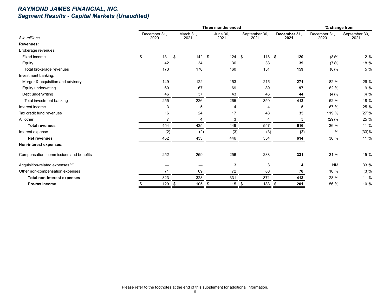## *RAYMOND JAMES FINANCIAL, INC. Segment Results - Capital Markets (Unaudited)*

|                                             |                      |                      | % change from |                  |                       |                      |                      |                       |
|---------------------------------------------|----------------------|----------------------|---------------|------------------|-----------------------|----------------------|----------------------|-----------------------|
| \$ in millions                              | December 31,<br>2020 | March 31,<br>2021    |               | June 30,<br>2021 | September 30,<br>2021 | December 31.<br>2021 | December 31,<br>2020 | September 30,<br>2021 |
| Revenues:                                   |                      |                      |               |                  |                       |                      |                      |                       |
| Brokerage revenues:                         |                      |                      |               |                  |                       |                      |                      |                       |
| Fixed income                                | \$<br>131S           |                      | $142$ \$      | $124$ \$         | 118                   | 120<br>\$            | $(8)\%$              | 2%                    |
| Equity                                      | 42                   | 34                   |               | 36               | 33                    | 39                   | (7)%                 | 18 %                  |
| Total brokerage revenues                    | 173                  | 176                  |               | 160              | 151                   | 159                  | $(8)\%$              | 5 %                   |
| Investment banking:                         |                      |                      |               |                  |                       |                      |                      |                       |
| Merger & acquisition and advisory           | 149                  | 122                  |               | 153              | 215                   | 271                  | 82 %                 | 26 %                  |
| Equity underwriting                         | 60                   | 67                   |               | 69               | 89                    | 97                   | 62 %                 | 9 %                   |
| Debt underwriting                           | 46                   | 37                   |               | 43               | 46                    | 44                   | (4)%                 | (4)%                  |
| Total investment banking                    | 255                  | 226                  |               | 265              | 350                   | 412                  | 62 %                 | 18 %                  |
| Interest income                             | 3                    | 5                    |               | 4                | 4                     | 5                    | 67 %                 | 25 %                  |
| Tax credit fund revenues                    | 16                   | 24                   |               | 17               | 48                    | 35                   | 119 %                | (27)%                 |
| All other                                   | 7                    | $\overline{4}$       |               | 3                | 4                     | 5                    | (29)%                | 25 %                  |
| <b>Total revenues</b>                       | 454                  | 435                  |               | 449              | 557                   | 616                  | 36 %                 | 11 %                  |
| Interest expense                            | (2)                  | (2)                  |               | (3)              | (3)                   | (2)                  | $-$ %                | (33)%                 |
| Net revenues                                | 452                  | 433                  |               | 446              | 554                   | 614                  | 36 %                 | 11 %                  |
| Non-interest expenses:                      |                      |                      |               |                  |                       |                      |                      |                       |
| Compensation, commissions and benefits      | 252                  | 259                  |               | 256              | 288                   | 331                  | 31 %                 | 15 %                  |
| Acquisition-related expenses <sup>(3)</sup> |                      |                      |               | 3                | 3                     | 4                    | <b>NM</b>            | 33 %                  |
| Other non-compensation expenses             | 71                   | 69                   |               | 72               | 80                    | 78                   | 10 %                 | (3)%                  |
| <b>Total non-interest expenses</b>          | 323                  | 328                  |               | 331              | 371                   | 413                  | 28 %                 | 11 %                  |
| Pre-tax income                              | 129                  | $\frac{\$}{}$<br>105 | -\$           | 115 $$$          | 183                   | 201<br>\$            | 56 %                 | 10 %                  |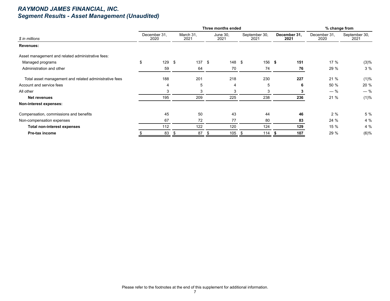## *RAYMOND JAMES FINANCIAL, INC. Segment Results - Asset Management (Unaudited)*

|                                                        |                      |     | Three months ended |      | % change from    |    |                       |                      |     |                      |                       |  |
|--------------------------------------------------------|----------------------|-----|--------------------|------|------------------|----|-----------------------|----------------------|-----|----------------------|-----------------------|--|
| \$ in millions                                         | December 31.<br>2020 |     | March 31.<br>2021  |      | June 30,<br>2021 |    | September 30,<br>2021 | December 31,<br>2021 |     | December 31,<br>2020 | September 30,<br>2021 |  |
| Revenues:                                              |                      |     |                    |      |                  |    |                       |                      |     |                      |                       |  |
| Asset management and related administrative fees:      |                      |     |                    |      |                  |    |                       |                      |     |                      |                       |  |
| Managed programs                                       | \$<br>129            | -\$ | 137                | - \$ | 148              | \$ | 156                   | - 5                  | 151 | 17 %                 | (3)%                  |  |
| Administration and other                               | 59                   |     | 64                 |      | 70               |    | 74                    |                      | 76  | 29 %                 | 3%                    |  |
| Total asset management and related administrative fees | 188                  |     | 201                |      | 218              |    | 230                   |                      | 227 | 21 %                 | (1)%                  |  |
| Account and service fees                               | 4                    |     | 5                  |      | 4                |    | 5                     |                      | 6   | 50 %                 | 20 %                  |  |
| All other                                              | 3                    |     | 3                  |      | 3                |    | 3                     |                      |     | $-$ %                | $-$ %                 |  |
| <b>Net revenues</b>                                    | 195                  |     | 209                |      | 225              |    | 238                   |                      | 236 | 21 %                 | (1)%                  |  |
| Non-interest expenses:                                 |                      |     |                    |      |                  |    |                       |                      |     |                      |                       |  |
| Compensation, commissions and benefits                 | 45                   |     | 50                 |      | 43               |    | 44                    |                      | 46  | 2%                   | 5 %                   |  |
| Non-compensation expenses                              | 67                   |     | 72                 |      | 77               |    | 80                    |                      | 83  | 24 %                 | 4%                    |  |
| <b>Total non-interest expenses</b>                     | 112                  |     | 122                |      | 120              |    | 124                   |                      | 129 | 15 %                 | 4%                    |  |
| <b>Pre-tax income</b>                                  | 83                   | \$  | 87                 |      | 105              |    | 114                   |                      | 107 | 29 %                 | (6)%                  |  |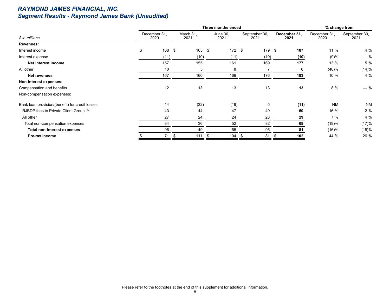## *RAYMOND JAMES FINANCIAL, INC. Segment Results - Raymond James Bank (Unaudited)*

|                                                 |                      | Three months ended |                  | % change from         |                      |                      |                       |
|-------------------------------------------------|----------------------|--------------------|------------------|-----------------------|----------------------|----------------------|-----------------------|
| \$ in millions                                  | December 31,<br>2020 | March 31,<br>2021  | June 30,<br>2021 | September 30,<br>2021 | December 31.<br>2021 | December 31.<br>2020 | September 30,<br>2021 |
| Revenues:                                       |                      |                    |                  |                       |                      |                      |                       |
| Interest income                                 | \$<br>168            | 165 \$<br>-\$      | 172S             | $179$ \$              | 187                  | 11 %                 | 4 %                   |
| Interest expense                                | (11)                 | (10)               | (11)             | (10)                  | (10)                 | (9)%                 | $-$ %                 |
| Net interest income                             | 157                  | 155                | 161              | 169                   | 177                  | 13 %                 | 5 %                   |
| All other                                       | 10                   | 5                  | 8                |                       | 6                    | (40)%                | (14)%                 |
| <b>Net revenues</b>                             | 167                  | 160                | 169              | 176                   | 183                  | 10 %                 | 4 %                   |
| Non-interest expenses:                          |                      |                    |                  |                       |                      |                      |                       |
| Compensation and benefits                       | 12                   | 13                 | 13               | 13                    | 13                   | 8 %                  | $-$ %                 |
| Non-compensation expenses:                      |                      |                    |                  |                       |                      |                      |                       |
| Bank loan provision/(benefit) for credit losses | 14                   | (32)               | (19)             | 5                     | (11)                 | <b>NM</b>            | <b>NM</b>             |
| RJBDP fees to Private Client Group (12)         | 43                   | 44                 | 47               | 49                    | 50                   | 16 %                 | 2%                    |
| All other                                       | 27                   | 24                 | 24               | 28                    | 29                   | 7%                   | 4 %                   |
| Total non-compensation expenses                 | 84                   | 36                 | 52               | 82                    | 68                   | (19)%                | (17)%                 |
| <b>Total non-interest expenses</b>              | 96                   | 49                 | 65               | 95                    | 81                   | (16)%                | (15)%                 |
| Pre-tax income                                  | 71                   | 111<br>S           | 104<br>- \$      | 81<br>ж,              | 102                  | 44 %                 | 26 %                  |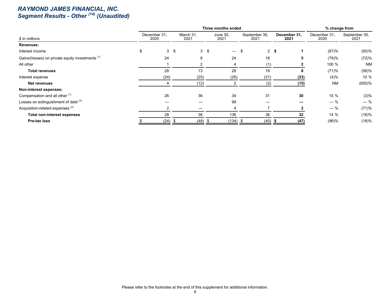#### *RAYMOND JAMES FINANCIAL, INC. Segment Results - Other (14) (Unaudited)*

|                                                  |                      | Three months ended |                | % change from    |                       |                      |                      |                       |
|--------------------------------------------------|----------------------|--------------------|----------------|------------------|-----------------------|----------------------|----------------------|-----------------------|
| \$ in millions                                   | December 31.<br>2020 | March 31,<br>2021  |                | June 30,<br>2021 | September 30,<br>2021 | December 31,<br>2021 | December 31,<br>2020 | September 30,<br>2021 |
| Revenues:                                        |                      |                    |                |                  |                       |                      |                      |                       |
| Interest income                                  | 3                    | \$                 | 3 <sup>5</sup> |                  |                       | 2 <sup>5</sup>       | (67)%                | $(50) \%$             |
| Gains/(losses) on private equity investments (1) | 24                   | 8                  |                | 24               | 18                    | 5                    | (79)%                | (72)%                 |
| All other                                        |                      |                    |                |                  | (1)                   |                      | 100 %                | <b>NM</b>             |
| <b>Total revenues</b>                            | 28                   | 13                 |                | 28               | 19                    | 8                    | (71)%                | (58)%                 |
| Interest expense                                 | (24)                 | (25)               |                | (26)             | (21)                  | (23)                 | (4)%                 | 10%                   |
| <b>Net revenues</b>                              |                      | (12)               |                |                  | (2)                   | (15)                 | <b>NM</b>            | $(650)$ %             |
| Non-interest expenses:                           |                      |                    |                |                  |                       |                      |                      |                       |
| Compensation and all other (1)                   | 26                   | 36                 |                | 34               | 31                    | 30                   | 15 %                 | (3)%                  |
| Losses on extinguishment of debt <sup>(2)</sup>  |                      |                    |                | 98               |                       |                      | $-$ %                | $-$ %                 |
| Acquisition-related expenses <sup>(3)</sup>      |                      |                    |                |                  |                       |                      | $-$ %                | (71)%                 |
| <b>Total non-interest expenses</b>               | 28                   | 36                 |                | 136              | 38                    | 32                   | 14 %                 | (16)%                 |
| Pre-tax loss                                     | $(24)$ \$            | (48)               |                | $(134)$ \$       | (40)                  | (47)                 | (96)%                | (18)%                 |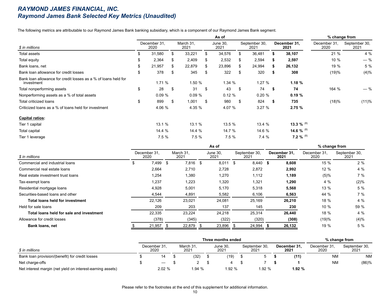#### *RAYMOND JAMES FINANCIAL, INC. Raymond James Bank Selected Key Metrics (Unaudited)*

The following metrics are attributable to our Raymond James Bank banking subsidiary, which is a component of our Raymond James Bank segment.

|                                                                              |    |                      |     |                   |     | % change from           |      |                       |      |                      |                      |                       |
|------------------------------------------------------------------------------|----|----------------------|-----|-------------------|-----|-------------------------|------|-----------------------|------|----------------------|----------------------|-----------------------|
| \$ in millions                                                               |    | December 31.<br>2020 |     | March 31,<br>2021 |     | <b>June 30,</b><br>2021 |      | September 30,<br>2021 |      | December 31,<br>2021 | December 31.<br>2020 | September 30,<br>2021 |
| Total assets                                                                 |    | 31,580               | \$. | 33,221            | S.  | 34,576                  |      | 36,481                |      | 38,107               | 21 %                 | 4 %                   |
| Total equity                                                                 | S  | 2,364                | \$  | 2,409             | \$  | 2,532                   | S.   | 2,594                 | S.   | 2,597                | 10 %                 | $-$ %                 |
| Bank loans, net                                                              | \$ | 21,957               | \$. | 22,879            | \$. | 23,896                  | £.   | 24,994                | S    | 26,132               | 19 %                 | 5 %                   |
| Bank loan allowance for credit losses                                        | \$ | 378                  | \$. | 345               | S   | 322                     |      | 320                   | 55   | 308                  | (19)%                | (4)%                  |
| Bank loan allowance for credit losses as a % of loans held for<br>investment |    | 1.71%                |     | 1.50 %            |     | 1.34 %                  |      | 1.27%                 |      | 1.18%                |                      |                       |
| Total nonperforming assets                                                   | \$ | 28                   | \$  | 31                | \$  | 43                      | - \$ | 74                    | - \$ | 74                   | 164 %                | $-$ %                 |
| Nonperforming assets as a % of total assets                                  |    | 0.09%                |     | 0.09%             |     | 0.12%                   |      | 0.20%                 |      | 0.19%                |                      |                       |
| Total criticized loans                                                       | \$ | 899                  | \$  | 1,001             | \$  | 980                     | -S   | 824                   | \$   | 735                  | (18)%                | (11)%                 |
| Criticized loans as a % of loans held for investment                         |    | 4.06 %               |     | 4.35 %            |     | 4.07 %                  |      | 3.27%                 |      | 2.75%                |                      |                       |
| <b>Capital ratios:</b>                                                       |    |                      |     |                   |     |                         |      |                       |      |                      |                      |                       |
| Tier 1 capital                                                               |    | 13.1 %               |     | 13.1 %            |     | 13.5 %                  |      | 13.4 %                |      | 13.3 % $^{(8)}$      |                      |                       |
| Total capital                                                                |    | 14.4 %               |     | 14.4 %            |     | 14.7 %                  |      | 14.6 %                |      | 14.6 % $^{(8)}$      |                      |                       |
| Tier 1 leverage                                                              |    | 7.5%                 |     | 7.5%              |     | 7.5%                    |      | 7.4%                  |      | 7.2 % $^{(8)}$       |                      |                       |

|                                          |   |                      |    |                   |      | % change from    |      |                       |  |                      |                      |                       |
|------------------------------------------|---|----------------------|----|-------------------|------|------------------|------|-----------------------|--|----------------------|----------------------|-----------------------|
| \$ in millions                           |   | December 31,<br>2020 |    | March 31.<br>2021 |      | June 30.<br>2021 |      | September 30.<br>2021 |  | December 31.<br>2021 | December 31.<br>2020 | September 30,<br>2021 |
| Commercial and industrial loans          | Ф | 7,499                | .S | 7,816             | - \$ | 8,011            | - \$ | $8,440$ \$            |  | 8,608                | 15 %                 | 2 %                   |
| Commercial real estate loans             |   | 2,664                |    | 2,710             |      | 2,728            |      | 2,872                 |  | 2,992                | 12 %                 | 4%                    |
| Real estate investment trust loans       |   | 1,254                |    | 1,380             |      | 1,270            |      | 1,112                 |  | 1,189                | $(5)\%$              | 7%                    |
| Tax-exempt loans                         |   | 1,237                |    | 1,223             |      | 1,320            |      | 1,321                 |  | 1,290                | $4\%$                | (2)%                  |
| Residential mortgage loans               |   | 4.928                |    | 5,001             |      | 5,170            |      | 5,318                 |  | 5,568                | 13 %                 | 5 %                   |
| Securities-based loans and other         |   | 4,544                |    | 4,891             |      | 5,582            |      | 6,106                 |  | 6,563                | 44 %                 | 7%                    |
| Total loans held for investment          |   | 22.126               |    | 23,021            |      | 24.081           |      | 25,169                |  | 26,210               | 18 %                 | $4\%$                 |
| Held for sale loans                      |   | 209                  |    | 203               |      | 137              |      | 145                   |  | 230                  | 10%                  | 59 %                  |
| Total loans held for sale and investment |   | 22,335               |    | 23,224            |      | 24,218           |      | 25,314                |  | 26,440               | 18 %                 | 4%                    |
| Allowance for credit losses              |   | (378)                |    | (345)             |      | (322)            |      | (320)                 |  | (308)                | (19)%                | (4)%                  |
| <b>Bank loans, net</b>                   |   | 21,957               |    | 22,879            |      | 23.896           |      | 24,994 \$             |  | 26,132               | 19 %                 | 5 %                   |

|                                                            |  |                      |  | % change from     |  |                  |  |                       |  |                      |                      |                       |  |
|------------------------------------------------------------|--|----------------------|--|-------------------|--|------------------|--|-----------------------|--|----------------------|----------------------|-----------------------|--|
| \$ in millions                                             |  | December 31,<br>2020 |  | March 31,<br>2021 |  | June 30,<br>2021 |  | September 30,<br>2021 |  | December 31,<br>2021 | December 31,<br>2020 | September 30,<br>2021 |  |
| Bank loan provision/(benefit) for credit losses            |  | 14                   |  | (32)              |  | (19)             |  |                       |  | (11)                 | <b>NM</b>            | <b>NM</b>             |  |
| Net charge-offs                                            |  |                      |  |                   |  |                  |  |                       |  |                      | <b>NM</b>            | $(86)$ %              |  |
| Net interest margin (net yield on interest-earning assets) |  | 2.02%                |  | 1.94 %            |  | 1.92 %           |  | 1.92%                 |  | 1.92%                |                      |                       |  |

Please refer to the footnotes at the end of this supplement for additional information.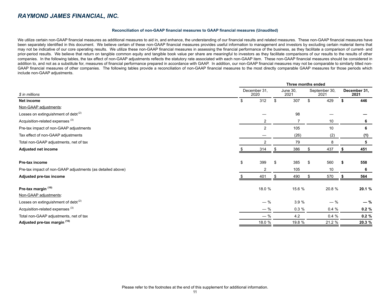#### **Reconciliation of non-GAAP financial measures to GAAP financial measures (Unaudited)**

We utilize certain non-GAAP financial measures as additional measures to aid in, and enhance, the understanding of our financial results and related measures. These non-GAAP financial measures have been separately identified in this document. We believe certain of these non-GAAP financial measures provides useful information to management and investors by excluding certain material items that may not be indicative of our core operating results. We utilize these non-GAAP financial measures in assessing the financial performance of the business, as they facilitate a comparison of current- and prior-period results. We believe that return on tangible common equity and tangible book value per share are meaningful to investors as they facilitate comparisons of our results to the results of other companies. In the following tables, the tax effect of non-GAAP adjustments reflects the statutory rate associated with each non-GAAP item. These non-GAAP financial measures should be considered in addition to, and not as a substitute for, measures of financial performance prepared in accordance with GAAP. In addition, our non-GAAP financial measures may not be comparable to similarly titled non-GAAP financial measures of other companies. The following tables provide a reconciliation of non-GAAP financial measures to the most directly comparable GAAP measures for those periods which include non-GAAP adjustments.

|                                                            | Three months ended |                      |                  |          |    |                       |    |                      |  |  |  |
|------------------------------------------------------------|--------------------|----------------------|------------------|----------|----|-----------------------|----|----------------------|--|--|--|
| \$ in millions                                             |                    | December 31.<br>2020 | June 30,<br>2021 |          |    | September 30,<br>2021 |    | December 31,<br>2021 |  |  |  |
| Net income                                                 | \$                 | 312                  | \$               | 307      | \$ | 429                   | \$ | 446                  |  |  |  |
| Non-GAAP adjustments:                                      |                    |                      |                  |          |    |                       |    |                      |  |  |  |
| Losses on extinguishment of debt <sup>(2)</sup>            |                    |                      |                  | 98       |    |                       |    |                      |  |  |  |
| Acquisition-related expenses <sup>(3)</sup>                |                    | 2                    |                  | 7        |    | 10                    |    | 6                    |  |  |  |
| Pre-tax impact of non-GAAP adjustments                     |                    | $\mathbf{2}$         |                  | 105      |    | 10                    |    | 6                    |  |  |  |
| Tax effect of non-GAAP adjustments                         |                    |                      |                  | (26)     |    | (2)                   |    | (1)                  |  |  |  |
| Total non-GAAP adjustments, net of tax                     |                    | 2                    |                  | 79       |    | 8                     |    | 5                    |  |  |  |
| Adjusted net income                                        |                    | 314                  |                  | 386      |    | 437                   |    | 451                  |  |  |  |
| Pre-tax income                                             | \$                 | 399                  | \$               | 385      | \$ | 560                   | S  | 558                  |  |  |  |
| Pre-tax impact of non-GAAP adjustments (as detailed above) |                    | $\overline{2}$       |                  | 105      |    | 10                    |    | 6                    |  |  |  |
| Adjusted pre-tax income                                    |                    | 401                  | \$.              | 490      |    | 570                   |    | 564                  |  |  |  |
| Pre-tax margin (10)                                        |                    | 18.0 %               |                  | 15.6 %   |    | 20.8 %                |    | 20.1 %               |  |  |  |
| Non-GAAP adjustments:                                      |                    |                      |                  |          |    |                       |    |                      |  |  |  |
| Losses on extinguishment of debt <sup>(2)</sup>            |                    | $-$ %                |                  | 3.9%     |    | $-$ %                 |    | $-$ %                |  |  |  |
| Acquisition-related expenses <sup>(3)</sup>                |                    | $-$ %                |                  | $0.3 \%$ |    | 0.4%                  |    | 0.2%                 |  |  |  |
| Total non-GAAP adjustments, net of tax                     |                    | $-$ %                |                  | 4.2      |    | $0.4 \%$              |    | 0.2%                 |  |  |  |
| Adjusted pre-tax margin (10)                               |                    | 18.0 %               |                  | 19.8 %   |    | 21.2 %                |    | 20.3 %               |  |  |  |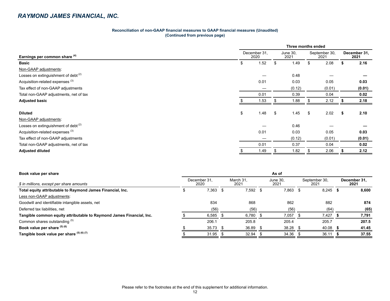| Reconciliation of non-GAAP financial measures to GAAP financial measures (Unaudited) |  |
|--------------------------------------------------------------------------------------|--|
| (Continued from previous page)                                                       |  |

|                                                 | Three months ended   |      |    |                  |    |                       |                      |        |  |  |  |
|-------------------------------------------------|----------------------|------|----|------------------|----|-----------------------|----------------------|--------|--|--|--|
| Earnings per common share (4)                   | December 31,<br>2020 |      |    | June 30,<br>2021 |    | September 30,<br>2021 | December 31.<br>2021 |        |  |  |  |
| <b>Basic</b>                                    | \$                   | 1.52 | .S | 1.49             | \$ | 2.08                  | S                    | 2.16   |  |  |  |
| Non-GAAP adjustments:                           |                      |      |    |                  |    |                       |                      |        |  |  |  |
| Losses on extinguishment of debt $(2)$          |                      |      |    | 0.48             |    |                       |                      |        |  |  |  |
| Acquisition-related expenses <sup>(3)</sup>     |                      | 0.01 |    | 0.03             |    | 0.05                  |                      | 0.03   |  |  |  |
| Tax effect of non-GAAP adjustments              |                      |      |    | (0.12)           |    | (0.01)                |                      | (0.01) |  |  |  |
| Total non-GAAP adjustments, net of tax          |                      | 0.01 |    | 0.39             |    | 0.04                  |                      | 0.02   |  |  |  |
| <b>Adjusted basic</b>                           |                      | 1.53 |    | 1.88             |    | 2.12                  |                      | 2.18   |  |  |  |
|                                                 |                      |      |    |                  |    |                       |                      |        |  |  |  |
| <b>Diluted</b>                                  | \$                   | 1.48 | \$ | 1.45             | \$ | 2.02                  | \$                   | 2.10   |  |  |  |
| Non-GAAP adjustments:                           |                      |      |    |                  |    |                       |                      |        |  |  |  |
| Losses on extinguishment of debt <sup>(2)</sup> |                      |      |    | 0.46             |    |                       |                      |        |  |  |  |
| Acquisition-related expenses <sup>(3)</sup>     |                      | 0.01 |    | 0.03             |    | 0.05                  |                      | 0.03   |  |  |  |
| Tax effect of non-GAAP adjustments              |                      |      |    | (0.12)           |    | (0.01)                |                      | (0.01) |  |  |  |
| Total non-GAAP adjustments, net of tax          |                      | 0.01 |    | 0.37             |    | 0.04                  |                      | 0.02   |  |  |  |
| <b>Adjusted diluted</b>                         |                      | 1.49 |    | 1.82             |    | 2.06                  |                      | 2.12   |  |  |  |

| Book value per share                                                 | As of                |       |  |                   |                  |       |    |                       |  |                      |
|----------------------------------------------------------------------|----------------------|-------|--|-------------------|------------------|-------|----|-----------------------|--|----------------------|
| \$ in millions, except per share amounts                             | December 31.<br>2020 |       |  | March 31.<br>2021 | June 30.<br>2021 |       |    | September 30,<br>2021 |  | December 31.<br>2021 |
| Total equity attributable to Raymond James Financial, Inc.           |                      | 7,363 |  | 7.592             |                  | 7.863 | Ъ. | 8,245                 |  | 8.600                |
| Less non-GAAP adjustments:                                           |                      |       |  |                   |                  |       |    |                       |  |                      |
| Goodwill and identifiable intangible assets, net                     |                      | 834   |  | 868               |                  | 862   |    | 882                   |  | 874                  |
| Deferred tax liabilities, net                                        |                      | (56)  |  | (56)              |                  | (56)  |    | (64)                  |  | (65)                 |
| Tangible common equity attributable to Raymond James Financial, Inc. |                      | 6,585 |  | 6,780             |                  | 7,057 |    | 7,427                 |  | 7,791                |
| Common shares outstanding (5)                                        |                      | 206.1 |  | 205.8             |                  | 205.4 |    | 205.7                 |  | 207.5                |
| Book value per share (5) (6)                                         |                      | 35.73 |  | 36.89             |                  | 38.28 |    | 40.08                 |  | 41.45                |
| Tangible book value per share (5) (6) (7)                            |                      | 31.95 |  | 32.94             |                  | 34.36 |    | 36.11                 |  | 37.55                |
|                                                                      |                      |       |  |                   |                  |       |    |                       |  |                      |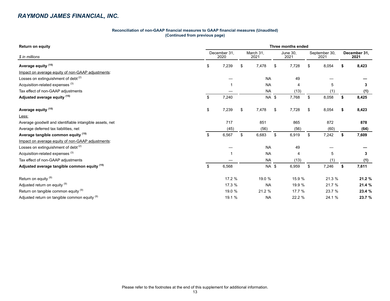#### **Reconciliation of non-GAAP financial measures to GAAP financial measures (Unaudited) (Continued from previous page)**

| <b>Return on equity</b>                                  | Three months ended |                      |           |                   |        |                         |        |                       |    |                      |  |  |
|----------------------------------------------------------|--------------------|----------------------|-----------|-------------------|--------|-------------------------|--------|-----------------------|----|----------------------|--|--|
| \$ in millions                                           |                    | December 31,<br>2020 |           | March 31,<br>2021 |        | <b>June 30,</b><br>2021 |        | September 30,<br>2021 |    | December 31,<br>2021 |  |  |
| Average equity <sup>(15)</sup>                           | \$                 | 7,239                | \$        | 7,478             | \$     | 7,728                   | \$     | 8,054                 | \$ | 8,423                |  |  |
| Impact on average equity of non-GAAP adjustments:        |                    |                      |           |                   |        |                         |        |                       |    |                      |  |  |
| Losses on extinguishment of debt $(2)$                   |                    |                      |           | <b>NA</b>         |        | 49                      |        |                       |    |                      |  |  |
| Acquisition-related expenses <sup>(3)</sup>              |                    |                      |           | <b>NA</b>         |        | 4                       |        | 5                     |    | 3                    |  |  |
| Tax effect of non-GAAP adjustments                       |                    |                      |           | <b>NA</b>         |        | (13)                    |        | (1)                   |    | (1)                  |  |  |
| Adjusted average equity (15)                             | \$                 | 7,240                |           | NA \$             |        | 7,768                   | \$     | 8,058                 | \$ | 8,425                |  |  |
| Average equity <sup>(15)</sup>                           | \$                 | 7,239                | \$        | 7,478             | \$     | 7,728                   | \$     | 8,054                 | \$ | 8,423                |  |  |
| Less:                                                    |                    |                      |           |                   |        |                         |        |                       |    |                      |  |  |
| Average goodwill and identifiable intangible assets, net |                    | 717                  |           | 851               |        | 865                     |        | 872                   |    | 878                  |  |  |
| Average deferred tax liabilities, net                    |                    | (45)                 |           | (56)              |        | (56)                    |        | (60)                  |    | (64)                 |  |  |
| Average tangible common equity (15)                      | \$                 | 6,567                | \$        | 6,683             | \$     | 6,919                   | \$     | 7,242                 | \$ | 7,609                |  |  |
| Impact on average equity of non-GAAP adjustments:        |                    |                      |           |                   |        |                         |        |                       |    |                      |  |  |
| Losses on extinguishment of debt <sup>(2)</sup>          |                    |                      |           | <b>NA</b>         |        | 49                      |        |                       |    |                      |  |  |
| Acquisition-related expenses <sup>(3)</sup>              |                    |                      |           | <b>NA</b>         |        | $\overline{4}$          |        | 5                     |    | 3                    |  |  |
| Tax effect of non-GAAP adjustments                       |                    |                      |           | <b>NA</b>         |        | (13)                    |        |                       |    | (1)                  |  |  |
| Adjusted average tangible common equity (15)             | \$                 | 6,568                |           | NA \$             |        | 6,959                   | \$     | 7,246                 | \$ | 7,611                |  |  |
| Return on equity <sup>(9)</sup>                          |                    | 17.2 %               |           | 19.0 %            |        | 15.9 %                  |        | 21.3 %                |    | 21.2 %               |  |  |
| Adjusted return on equity (9)                            |                    | 17.3 %               | <b>NA</b> |                   | 19.9 % |                         | 21.7 % |                       |    | 21.4 %               |  |  |
| Return on tangible common equity (9)                     |                    | 19.0 %               |           | 21.2 %            |        | 17.7 %                  |        | 23.7 %                |    | 23.4 %               |  |  |
| Adjusted return on tangible common equity (9)            |                    | 19.1 %               |           | <b>NA</b>         |        | 22.2 %                  |        | 24.1 %                |    | 23.7 %               |  |  |